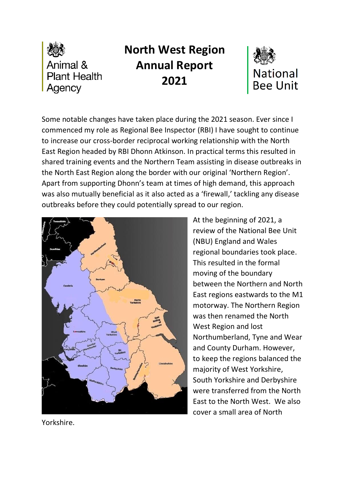

# **North West Region Annual Report 2021**



Some notable changes have taken place during the 2021 season. Ever since I commenced my role as Regional Bee Inspector (RBI) I have sought to continue to increase our cross-border reciprocal working relationship with the North East Region headed by RBI Dhonn Atkinson. In practical terms this resulted in shared training events and the Northern Team assisting in disease outbreaks in the North East Region along the border with our original 'Northern Region'. Apart from supporting Dhonn's team at times of high demand, this approach was also mutually beneficial as it also acted as a 'firewall,' tackling any disease outbreaks before they could potentially spread to our region.



At the beginning of 2021, a review of the National Bee Unit (NBU) England and Wales regional boundaries took place. This resulted in the formal moving of the boundary between the Northern and North East regions eastwards to the M1 motorway. The Northern Region was then renamed the North West Region and lost Northumberland, Tyne and Wear and County Durham. However, to keep the regions balanced the majority of West Yorkshire, South Yorkshire and Derbyshire were transferred from the North East to the North West. We also cover a small area of North

Yorkshire.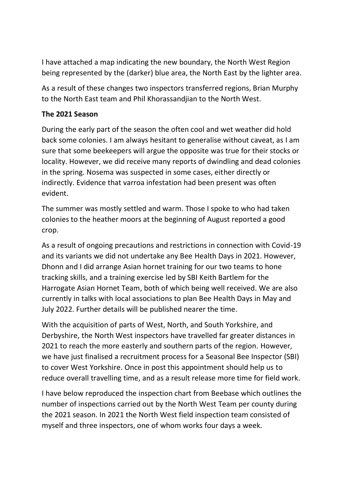I have attached a map indicating the new boundary, the North West Region being represented by the (darker) blue area, the North East by the lighter area.

As a result of these changes two inspectors transferred regions, Brian Murphy to the North East team and Phil Khorassandjian to the North West.

#### **The 2021 Season**

During the early part of the season the often cool and wet weather did hold back some colonies. I am always hesitant to generalise without caveat, as I am sure that some beekeepers will argue the opposite was true for their stocks or locality. However, we did receive many reports of dwindling and dead colonies in the spring. Nosema was suspected in some cases, either directly or indirectly. Evidence that varroa infestation had been present was often evident.

The summer was mostly settled and warm. Those I spoke to who had taken colonies to the heather moors at the beginning of August reported a good crop.

As a result of ongoing precautions and restrictions in connection with Covid-19 and its variants we did not undertake any Bee Health Days in 2021. However, Dhonn and I did arrange Asian hornet training for our two teams to hone tracking skills, and a training exercise led by SBI Keith Bartlem for the Harrogate Asian Hornet Team, both of which being well received. We are also currently in talks with local associations to plan Bee Health Days in May and July 2022. Further details will be published nearer the time.

With the acquisition of parts of West, North, and South Yorkshire, and Derbyshire, the North West inspectors have travelled far greater distances in 2021 to reach the more easterly and southern parts of the region. However, we have just finalised a recruitment process for a Seasonal Bee Inspector (SBI) to cover West Yorkshire. Once in post this appointment should help us to reduce overall travelling time, and as a result release more time for field work.

I have below reproduced the inspection chart from Beebase which outlines the number of inspections carried out by the North West Team per county during the 2021 season. In 2021 the North West field inspection team consisted of myself and three inspectors, one of whom works four days a week.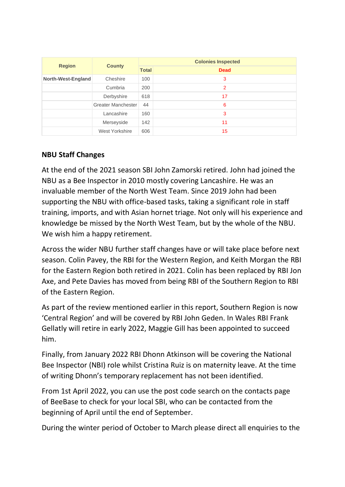| <b>Region</b>      | <b>County</b>      | <b>Colonies Inspected</b> |             |  |
|--------------------|--------------------|---------------------------|-------------|--|
|                    |                    | <b>Total</b>              | <b>Dead</b> |  |
| North-West-England | Cheshire           | 100                       | 3           |  |
|                    | Cumbria            | 200                       | 2           |  |
|                    | Derbyshire         | 618                       | 17          |  |
|                    | Greater Manchester | 44                        | 6           |  |
|                    | Lancashire         | 160                       | 3           |  |
|                    | Merseyside         | 142                       | 11          |  |
|                    | West Yorkshire     | 606                       | 15          |  |

## **NBU Staff Changes**

At the end of the 2021 season SBI John Zamorski retired. John had joined the NBU as a Bee Inspector in 2010 mostly covering Lancashire. He was an invaluable member of the North West Team. Since 2019 John had been supporting the NBU with office-based tasks, taking a significant role in staff training, imports, and with Asian hornet triage. Not only will his experience and knowledge be missed by the North West Team, but by the whole of the NBU. We wish him a happy retirement.

Across the wider NBU further staff changes have or will take place before next season. Colin Pavey, the RBI for the Western Region, and Keith Morgan the RBI for the Eastern Region both retired in 2021. Colin has been replaced by RBI Jon Axe, and Pete Davies has moved from being RBI of the Southern Region to RBI of the Eastern Region.

As part of the review mentioned earlier in this report, Southern Region is now 'Central Region' and will be covered by RBI John Geden. In Wales RBI Frank Gellatly will retire in early 2022, Maggie Gill has been appointed to succeed him.

Finally, from January 2022 RBI Dhonn Atkinson will be covering the National Bee Inspector (NBI) role whilst Cristina Ruiz is on maternity leave. At the time of writing Dhonn's temporary replacement has not been identified.

From 1st April 2022, you can use the post code search on the contacts page of BeeBase to check for your local SBI, who can be contacted from the beginning of April until the end of September.

During the winter period of October to March please direct all enquiries to the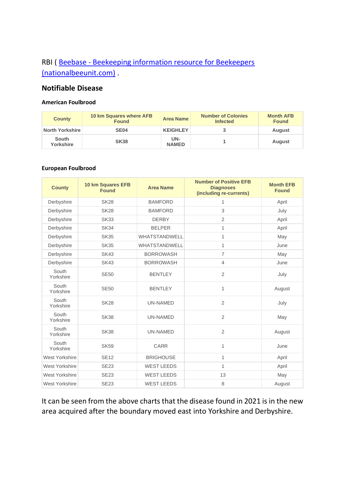## RBI ( Beebase - [Beekeeping information resource for Beekeepers](https://www.nationalbeeunit.com/public/Contacts/contacts.cfm)  [\(nationalbeeunit.com\)](https://www.nationalbeeunit.com/public/Contacts/contacts.cfm) .

#### **Notifiable Disease**

#### **American Foulbrood**

| <b>County</b>      | 10 km Squares where AFB<br><b>Found</b> | Area Name           | <b>Number of Colonies</b><br><b>Infected</b> | <b>Month AFB</b><br><b>Found</b> |
|--------------------|-----------------------------------------|---------------------|----------------------------------------------|----------------------------------|
| North Yorkshire    | <b>SE04</b>                             | <b>KEIGHLEY</b>     |                                              | <b>August</b>                    |
| South<br>Yorkshire | <b>SK38</b>                             | UN-<br><b>NAMED</b> |                                              | <b>August</b>                    |

#### **European Foulbrood**

| <b>County</b>         | 10 km Squares EFB<br><b>Found</b> | <b>Area Name</b>  | <b>Number of Positive EFB</b><br><b>Diagnoses</b><br>(including re-currents) | <b>Month EFB</b><br><b>Found</b> |
|-----------------------|-----------------------------------|-------------------|------------------------------------------------------------------------------|----------------------------------|
| Derbyshire            | <b>SK28</b>                       | <b>BAMFORD</b>    | 1                                                                            | April                            |
| Derbyshire            | <b>SK28</b>                       | <b>BAMFORD</b>    | 3                                                                            | July                             |
| Derbyshire            | <b>SK33</b>                       | <b>DERBY</b>      | $\overline{2}$                                                               | April                            |
| Derbyshire            | <b>SK34</b>                       | <b>BELPER</b>     | $\mathbf{1}$                                                                 | April                            |
| Derbyshire            | <b>SK35</b>                       | WHATSTANDWELL     | $\mathbf{1}$                                                                 | May                              |
| Derbyshire            | <b>SK35</b>                       | WHATSTANDWELL     | $\mathbf{1}$                                                                 | June                             |
| Derbyshire            | <b>SK43</b>                       | <b>BORROWASH</b>  | $\overline{7}$                                                               | May                              |
| Derbyshire            | <b>SK43</b>                       | <b>BORROWASH</b>  | $\overline{4}$                                                               | June                             |
| South<br>Yorkshire    | <b>SE50</b>                       | <b>BENTLEY</b>    | $\overline{2}$                                                               | July                             |
| South<br>Yorkshire    | <b>SE50</b>                       | <b>BENTLEY</b>    | 1                                                                            | August                           |
| South<br>Yorkshire    | <b>SK28</b>                       | <b>UN-NAMED</b>   | $\overline{2}$                                                               | July                             |
| South<br>Yorkshire    | <b>SK38</b>                       | <b>UN-NAMED</b>   | 2                                                                            | May                              |
| South<br>Yorkshire    | <b>SK38</b>                       | <b>UN-NAMED</b>   | $\overline{2}$                                                               | August                           |
| South<br>Yorkshire    | <b>SK59</b>                       | <b>CARR</b>       | $\mathbf{1}$                                                                 | June                             |
| <b>West Yorkshire</b> | <b>SE12</b>                       | <b>BRIGHOUSE</b>  | $\mathbf{1}$                                                                 | April                            |
| West Yorkshire        | <b>SE23</b>                       | <b>WEST LEEDS</b> | $\mathbf{1}$                                                                 | April                            |
| West Yorkshire        | <b>SE23</b>                       | <b>WEST LEEDS</b> | 13                                                                           | May                              |
| West Yorkshire        | <b>SE23</b>                       | <b>WEST LEEDS</b> | 8                                                                            | August                           |

It can be seen from the above charts that the disease found in 2021 is in the new area acquired after the boundary moved east into Yorkshire and Derbyshire.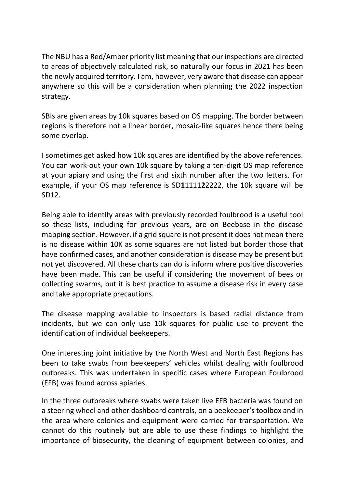The NBU has a Red/Amber priority list meaning that our inspections are directed to areas of objectively calculated risk, so naturally our focus in 2021 has been the newly acquired territory. I am, however, very aware that disease can appear anywhere so this will be a consideration when planning the 2022 inspection strategy.

SBIs are given areas by 10k squares based on OS mapping. The border between regions is therefore not a linear border, mosaic-like squares hence there being some overlap.

I sometimes get asked how 10k squares are identified by the above references. You can work-out your own 10k square by taking a ten-digit OS map reference at your apiary and using the first and sixth number after the two letters. For example, if your OS map reference is SD**1**1111**2**2222, the 10k square will be SD12.

Being able to identify areas with previously recorded foulbrood is a useful tool so these lists, including for previous years, are on Beebase in the disease mapping section. However, if a grid square is not present it does not mean there is no disease within 10K as some squares are not listed but border those that have confirmed cases, and another consideration is disease may be present but not yet discovered. All these charts can do is inform where positive discoveries have been made. This can be useful if considering the movement of bees or collecting swarms, but it is best practice to assume a disease risk in every case and take appropriate precautions.

The disease mapping available to inspectors is based radial distance from incidents, but we can only use 10k squares for public use to prevent the identification of individual beekeepers.

One interesting joint initiative by the North West and North East Regions has been to take swabs from beekeepers' vehicles whilst dealing with foulbrood outbreaks. This was undertaken in specific cases where European Foulbrood (EFB) was found across apiaries.

In the three outbreaks where swabs were taken live EFB bacteria was found on a steering wheel and other dashboard controls, on a beekeeper's toolbox and in the area where colonies and equipment were carried for transportation. We cannot do this routinely but are able to use these findings to highlight the importance of biosecurity, the cleaning of equipment between colonies, and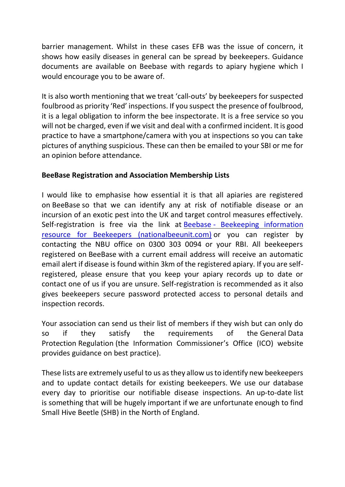barrier management. Whilst in these cases EFB was the issue of concern, it shows how easily diseases in general can be spread by beekeepers. Guidance documents are available on Beebase with regards to apiary hygiene which I would encourage you to be aware of.

It is also worth mentioning that we treat 'call-outs' by beekeepers for suspected foulbrood as priority 'Red' inspections. If you suspect the presence of foulbrood, it is a legal obligation to inform the bee inspectorate. It is a free service so you will not be charged, even if we visit and deal with a confirmed incident. It is good practice to have a smartphone/camera with you at inspections so you can take pictures of anything suspicious. These can then be emailed to your SBI or me for an opinion before attendance.

### **BeeBase Registration and Association Membership Lists**

I would like to emphasise how essential it is that all apiaries are registered on BeeBase so that we can identify any at risk of notifiable disease or an incursion of an exotic pest into the UK and target control measures effectively. Self-registration is free via the link at Beebase - [Beekeeping information](https://www.nationalbeeunit.com/public/register.cfm)  [resource for Beekeepers \(nationalbeeunit.com\)](https://www.nationalbeeunit.com/public/register.cfm) or you can register by contacting the NBU office on 0300 303 0094 or your RBI. All beekeepers registered on BeeBase with a current email address will receive an automatic email alert if disease is found within 3km of the registered apiary. If you are selfregistered, please ensure that you keep your apiary records up to date or contact one of us if you are unsure. Self-registration is recommended as it also gives beekeepers secure password protected access to personal details and inspection records.

Your association can send us their list of members if they wish but can only do so if they satisfy the requirements of the General Data Protection Regulation (the Information Commissioner's Office (ICO) website provides guidance on best practice).

These lists are extremely useful to us as they allow us to identify new beekeepers and to update contact details for existing beekeepers. We use our database every day to prioritise our notifiable disease inspections. An up-to-date list is something that will be hugely important if we are unfortunate enough to find Small Hive Beetle (SHB) in the North of England.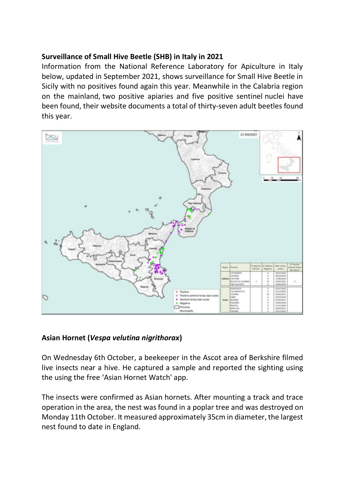### **Surveillance of Small Hive Beetle (SHB) in Italy in 2021**

Information from the National Reference Laboratory for Apiculture in Italy below, updated in September 2021, shows surveillance for Small Hive Beetle in Sicily with no positives found again this year. Meanwhile in the Calabria region on the mainland, two positive apiaries and five positive sentinel nuclei have been found, their website documents a total of thirty-seven adult beetles found this year.



#### **Asian Hornet (***Vespa velutina nigrithorax***)**

On Wednesday 6th October, a beekeeper in the Ascot area of Berkshire filmed live insects near a hive. He captured a sample and reported the sighting using the using the free 'Asian Hornet Watch' app.

The insects were confirmed as Asian hornets. After mounting a track and trace operation in the area, the nest was found in a poplar tree and was destroyed on Monday 11th October. It measured approximately 35cm in diameter, the largest nest found to date in England.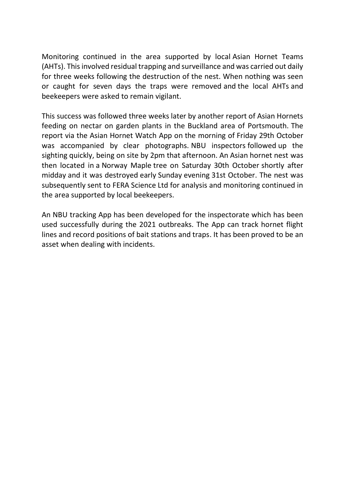Monitoring continued in the area supported by local Asian Hornet Teams (AHTs). This involved residual trapping and surveillance and was carried out daily for three weeks following the destruction of the nest. When nothing was seen or caught for seven days the traps were removed and the local AHTs and beekeepers were asked to remain vigilant.

This success was followed three weeks later by another report of Asian Hornets feeding on nectar on garden plants in the Buckland area of Portsmouth. The report via the Asian Hornet Watch App on the morning of Friday 29th October was accompanied by clear photographs. NBU inspectors followed up the sighting quickly, being on site by 2pm that afternoon. An Asian hornet nest was then located in a Norway Maple tree on Saturday 30th October shortly after midday and it was destroyed early Sunday evening 31st October. The nest was subsequently sent to FERA Science Ltd for analysis and monitoring continued in the area supported by local beekeepers.

An NBU tracking App has been developed for the inspectorate which has been used successfully during the 2021 outbreaks. The App can track hornet flight lines and record positions of bait stations and traps. It has been proved to be an asset when dealing with incidents.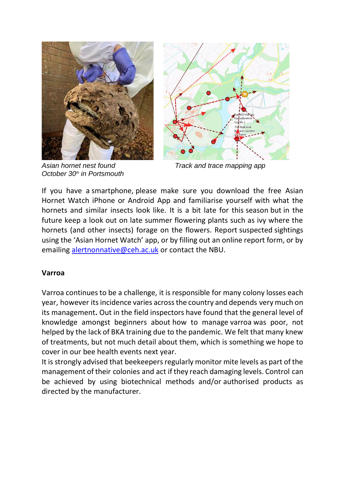

*October 30th in Portsmouth*



*Asian hornet nest found Track and trace mapping app*

If you have a smartphone, please make sure you download the free Asian Hornet Watch iPhone or Android App and familiarise yourself with what the hornets and similar insects look like. It is a bit late for this season but in the future keep a look out on late summer flowering plants such as ivy where the hornets (and other insects) forage on the flowers. Report suspected sightings using the 'Asian Hornet Watch' app, or by filling out an online report form, or by emailing [alertnonnative@ceh.ac.uk](mailto:alertnonnative@ceh.ac.uk) or contact the NBU.

#### **Varroa**

Varroa continues to be a challenge, it is responsible for many colony losses each year, however its incidence varies across the country and depends very much on its management**.** Out in the field inspectors have found that the general level of knowledge amongst beginners about how to manage varroa was poor, not helped by the lack of BKA training due to the pandemic. We felt that many knew of treatments, but not much detail about them, which is something we hope to cover in our bee health events next year.

It is strongly advised that beekeepers regularly monitor mite levels as part of the management of their colonies and act if they reach damaging levels. Control can be achieved by using biotechnical methods and/or authorised products as directed by the manufacturer.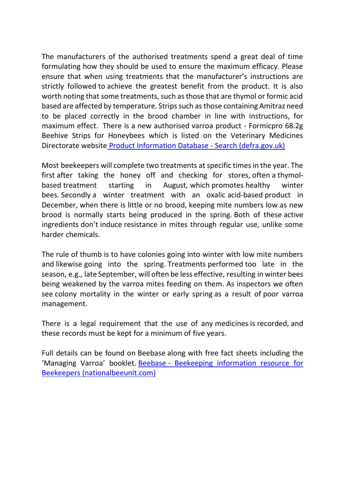The manufacturers of the authorised treatments spend a great deal of time formulating how they should be used to ensure the maximum efficacy. Please ensure that when using treatments that the manufacturer's instructions are strictly followed to achieve the greatest benefit from the product. It is also worth noting that some treatments, such as those that are thymol or formic acid based are affected by temperature. Strips such as those containing Amitraz need to be placed correctly in the brood chamber in line with instructions, for maximum effect. There is a new authorised varroa product - Formicpro 68.2g Beehive Strips for Honeybees which is listed on the Veterinary Medicines Directorate website [Product Information Database -](https://www.vmd.defra.gov.uk/ProductInformationDatabase/search) Search (defra.gov.uk)

Most beekeepers will complete two treatments at specific times in the year. The first after taking the honey off and checking for stores, often a thymolbased treatment starting in August, which promotes healthy winter bees. Secondly a winter treatment with an oxalic acid-based product in December, when there is little or no brood, keeping mite numbers low as new brood is normally starts being produced in the spring. Both of these active ingredients don't induce resistance in mites through regular use, unlike some harder chemicals.

The rule of thumb is to have colonies going into winter with low mite numbers and likewise going into the spring. Treatments performed too late in the season, e.g., late September, will often be less effective, resulting in winter bees being weakened by the varroa mites feeding on them. As inspectors we often see colony mortality in the winter or early spring as a result of poor varroa management.

There is a legal requirement that the use of any medicines is recorded, and these records must be kept for a minimum of five years.

Full details can be found on Beebase along with free fact sheets including the 'Managing Varroa' booklet. Beebase - [Beekeeping information resource for](https://www.nationalbeeunit.com/index.cfm?pageid=93)  [Beekeepers \(nationalbeeunit.com\)](https://www.nationalbeeunit.com/index.cfm?pageid=93)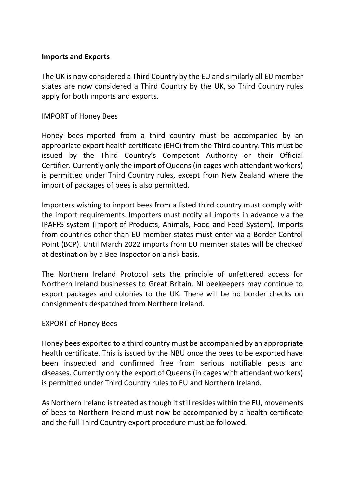#### **Imports and Exports**

The UK is now considered a Third Country by the EU and similarly all EU member states are now considered a Third Country by the UK, so Third Country rules apply for both imports and exports.

#### IMPORT of Honey Bees

Honey bees imported from a third country must be accompanied by an appropriate export health certificate (EHC) from the Third country. This must be issued by the Third Country's Competent Authority or their Official Certifier. Currently only the import of Queens (in cages with attendant workers) is permitted under Third Country rules, except from New Zealand where the import of packages of bees is also permitted.

Importers wishing to import bees from a listed third country must comply with the import requirements. Importers must notify all imports in advance via the IPAFFS system (Import of Products, Animals, Food and Feed System). Imports from countries other than EU member states must enter via a Border Control Point (BCP). Until March 2022 imports from EU member states will be checked at destination by a Bee Inspector on a risk basis.

The Northern Ireland Protocol sets the principle of unfettered access for Northern Ireland businesses to Great Britain. NI beekeepers may continue to export packages and colonies to the UK. There will be no border checks on consignments despatched from Northern Ireland.

#### EXPORT of Honey Bees

Honey bees exported to a third country must be accompanied by an appropriate health certificate. This is issued by the NBU once the bees to be exported have been inspected and confirmed free from serious notifiable pests and diseases. Currently only the export of Queens (in cages with attendant workers) is permitted under Third Country rules to EU and Northern Ireland.

As Northern Ireland is treated as though it still resides within the EU, movements of bees to Northern Ireland must now be accompanied by a health certificate and the full Third Country export procedure must be followed.